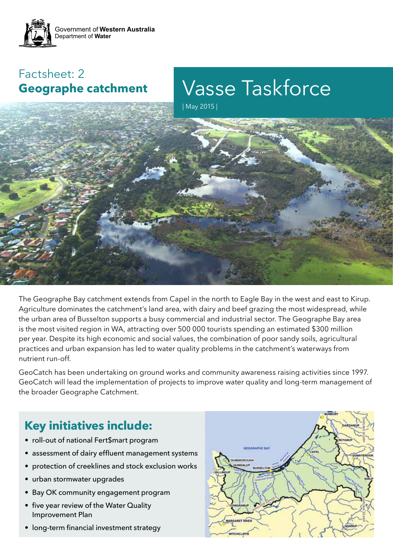

## Factsheet: 2 **Geographe catchment**

Vasse Taskforce

| May 2015 |



The Geographe Bay catchment extends from Capel in the north to Eagle Bay in the west and east to Kirup. Agriculture dominates the catchment's land area, with dairy and beef grazing the most widespread, while the urban area of Busselton supports a busy commercial and industrial sector. The Geographe Bay area is the most visited region in WA, attracting over 500 000 tourists spending an estimated \$300 million per year. Despite its high economic and social values, the combination of poor sandy soils, agricultural practices and urban expansion has led to water quality problems in the catchment's waterways from nutrient run-off.

GeoCatch has been undertaking on ground works and community awareness raising activities since 1997. GeoCatch will lead the implementation of projects to improve water quality and long-term management of the broader Geographe Catchment.

# **Key initiatives include:**

- roll-out of national Fert\$mart program
- assessment of dairy effluent management systems
- protection of creeklines and stock exclusion works
- urban stormwater upgrades
- Bay OK community engagement program
- five year review of the Water Quality Improvement Plan
- long-term financial investment strategy